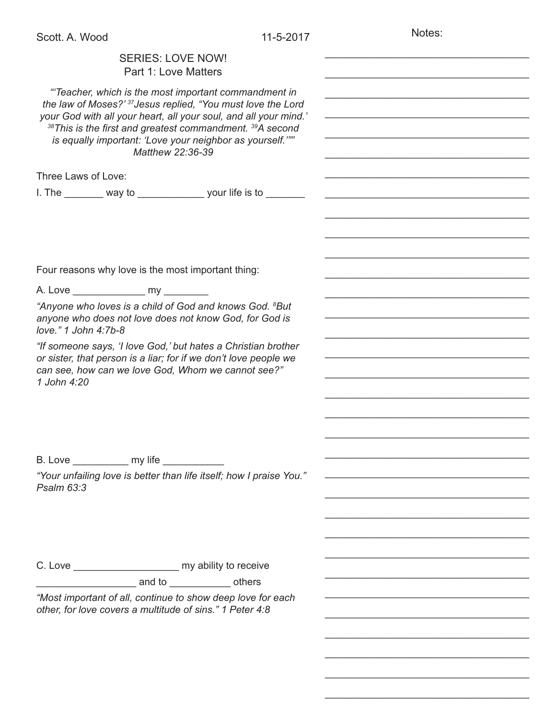Notes:

\_\_\_\_\_\_\_\_\_\_\_\_\_\_\_\_\_\_\_\_\_\_\_\_\_\_\_\_\_\_\_\_\_\_\_\_

\_\_\_\_\_\_\_\_\_\_\_\_\_\_\_\_\_\_\_\_\_\_\_\_\_\_\_\_\_\_\_\_\_\_\_\_

## SERIES: LOVE NOW! Part 1: Love Matters *"'Teacher, which is the most important commandment in the law of Moses?' 37Jesus replied, "You must love the Lord your God with all your heart, all your soul, and all your mind.' <sup>38</sup>This is the first and greatest commandment. 39A second is equally important: 'Love your neighbor as yourself.'"" Matthew 22:36-39* Three Laws of Love: I. The way to \_\_\_\_\_\_\_\_\_ your life is to \_\_\_\_\_\_\_ Four reasons why love is the most important thing: A. Love \_\_\_\_\_\_\_\_\_\_\_\_\_ my \_\_\_\_\_\_\_\_ *"Anyone who loves is a child of God and knows God. 8 But anyone who does not love does not know God, for God is love." 1 John 4:7b-8 "If someone says, 'I love God,' but hates a Christian brother or sister, that person is a liar; for if we don't love people we can see, how can we love God, Whom we cannot see?" 1 John 4:20* B. Love \_\_\_\_\_\_\_\_\_\_ my life \_\_\_\_\_\_\_\_\_\_\_ *"Your unfailing love is better than life itself; how I praise You." Psalm 63:3* C. Love my ability to receive and to ended by and to be a set others *"Most important of all, continue to show deep love for each other, for love covers a multitude of sins." 1 Peter 4:8* \_\_\_\_\_\_\_\_\_\_\_\_\_\_\_\_\_\_\_\_\_\_\_\_\_\_\_\_\_\_\_\_\_\_\_\_ \_\_\_\_\_\_\_\_\_\_\_\_\_\_\_\_\_\_\_\_\_\_\_\_\_\_\_\_\_\_\_\_\_\_\_\_ \_\_\_\_\_\_\_\_\_\_\_\_\_\_\_\_\_\_\_\_\_\_\_\_\_\_\_\_\_\_\_\_\_\_\_\_ \_\_\_\_\_\_\_\_\_\_\_\_\_\_\_\_\_\_\_\_\_\_\_\_\_\_\_\_\_\_\_\_\_\_\_\_ \_\_\_\_\_\_\_\_\_\_\_\_\_\_\_\_\_\_\_\_\_\_\_\_\_\_\_\_\_\_\_\_\_\_\_\_ \_\_\_\_\_\_\_\_\_\_\_\_\_\_\_\_\_\_\_\_\_\_\_\_\_\_\_\_\_\_\_\_\_\_\_\_ \_\_\_\_\_\_\_\_\_\_\_\_\_\_\_\_\_\_\_\_\_\_\_\_\_\_\_\_\_\_\_\_\_\_\_\_ \_\_\_\_\_\_\_\_\_\_\_\_\_\_\_\_\_\_\_\_\_\_\_\_\_\_\_\_\_\_\_\_\_\_\_\_ \_\_\_\_\_\_\_\_\_\_\_\_\_\_\_\_\_\_\_\_\_\_\_\_\_\_\_\_\_\_\_\_\_\_\_\_ \_\_\_\_\_\_\_\_\_\_\_\_\_\_\_\_\_\_\_\_\_\_\_\_\_\_\_\_\_\_\_\_\_\_\_\_ \_\_\_\_\_\_\_\_\_\_\_\_\_\_\_\_\_\_\_\_\_\_\_\_\_\_\_\_\_\_\_\_\_\_\_\_ \_\_\_\_\_\_\_\_\_\_\_\_\_\_\_\_\_\_\_\_\_\_\_\_\_\_\_\_\_\_\_\_\_\_\_\_ \_\_\_\_\_\_\_\_\_\_\_\_\_\_\_\_\_\_\_\_\_\_\_\_\_\_\_\_\_\_\_\_\_\_\_\_ \_\_\_\_\_\_\_\_\_\_\_\_\_\_\_\_\_\_\_\_\_\_\_\_\_\_\_\_\_\_\_\_\_\_\_\_ \_\_\_\_\_\_\_\_\_\_\_\_\_\_\_\_\_\_\_\_\_\_\_\_\_\_\_\_\_\_\_\_\_\_\_\_ \_\_\_\_\_\_\_\_\_\_\_\_\_\_\_\_\_\_\_\_\_\_\_\_\_\_\_\_\_\_\_\_\_\_\_\_ \_\_\_\_\_\_\_\_\_\_\_\_\_\_\_\_\_\_\_\_\_\_\_\_\_\_\_\_\_\_\_\_\_\_\_\_ \_\_\_\_\_\_\_\_\_\_\_\_\_\_\_\_\_\_\_\_\_\_\_\_\_\_\_\_\_\_\_\_\_\_\_\_ \_\_\_\_\_\_\_\_\_\_\_\_\_\_\_\_\_\_\_\_\_\_\_\_\_\_\_\_\_\_\_\_\_\_\_\_ \_\_\_\_\_\_\_\_\_\_\_\_\_\_\_\_\_\_\_\_\_\_\_\_\_\_\_\_\_\_\_\_\_\_\_\_ \_\_\_\_\_\_\_\_\_\_\_\_\_\_\_\_\_\_\_\_\_\_\_\_\_\_\_\_\_\_\_\_\_\_\_\_ \_\_\_\_\_\_\_\_\_\_\_\_\_\_\_\_\_\_\_\_\_\_\_\_\_\_\_\_\_\_\_\_\_\_\_\_ \_\_\_\_\_\_\_\_\_\_\_\_\_\_\_\_\_\_\_\_\_\_\_\_\_\_\_\_\_\_\_\_\_\_\_\_ \_\_\_\_\_\_\_\_\_\_\_\_\_\_\_\_\_\_\_\_\_\_\_\_\_\_\_\_\_\_\_\_\_\_\_\_ \_\_\_\_\_\_\_\_\_\_\_\_\_\_\_\_\_\_\_\_\_\_\_\_\_\_\_\_\_\_\_\_\_\_\_\_ \_\_\_\_\_\_\_\_\_\_\_\_\_\_\_\_\_\_\_\_\_\_\_\_\_\_\_\_\_\_\_\_\_\_\_\_ \_\_\_\_\_\_\_\_\_\_\_\_\_\_\_\_\_\_\_\_\_\_\_\_\_\_\_\_\_\_\_\_\_\_\_\_ \_\_\_\_\_\_\_\_\_\_\_\_\_\_\_\_\_\_\_\_\_\_\_\_\_\_\_\_\_\_\_\_\_\_\_\_ \_\_\_\_\_\_\_\_\_\_\_\_\_\_\_\_\_\_\_\_\_\_\_\_\_\_\_\_\_\_\_\_\_\_\_\_ \_\_\_\_\_\_\_\_\_\_\_\_\_\_\_\_\_\_\_\_\_\_\_\_\_\_\_\_\_\_\_\_\_\_\_\_ \_\_\_\_\_\_\_\_\_\_\_\_\_\_\_\_\_\_\_\_\_\_\_\_\_\_\_\_\_\_\_\_\_\_\_\_